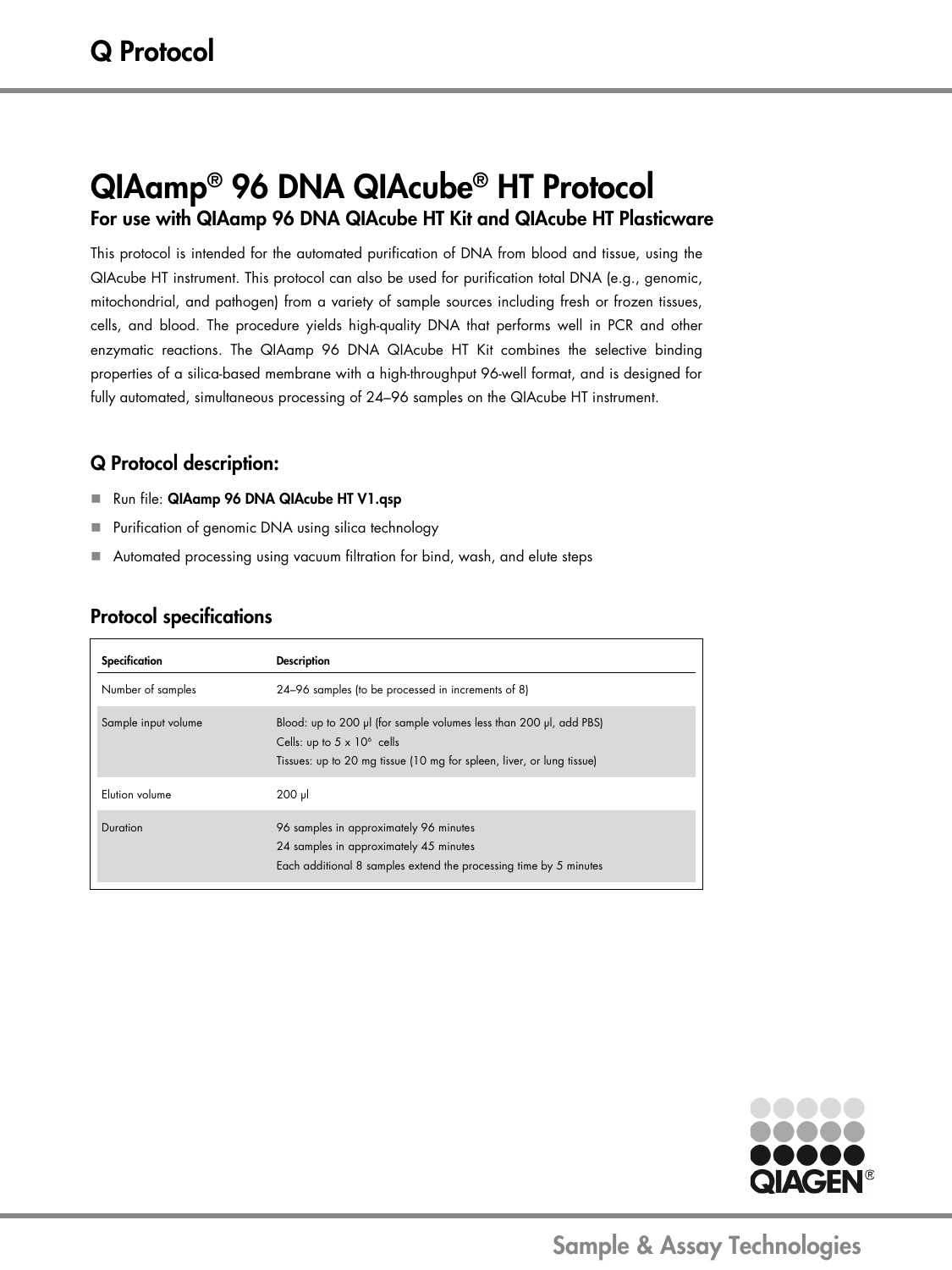# QIAamp® 96 DNA QIAcube® HT Protocol For use with QIAamp 96 DNA QIAcube HT Kit and QIAcube HT Plasticware

This protocol is intended for the automated purification of DNA from blood and tissue, using the QIAcube HT instrument. This protocol can also be used for purification total DNA (e.g., genomic, mitochondrial, and pathogen) from a variety of sample sources including fresh or frozen tissues, cells, and blood. The procedure yields high-quality DNA that performs well in PCR and other enzymatic reactions. The QIAamp 96 DNA QIAcube HT Kit combines the selective binding properties of a silica-based membrane with a high-throughput 96-well format, and is designed for fully automated, simultaneous processing of 24–96 samples on the QIAcube HT instrument.

### Q Protocol description:

- Run file: QIAamp 96 DNA QIAcube HT V1.qsp
- **Purification of genomic DNA using silica technology**
- Automated processing using vacuum filtration for bind, wash, and elute steps

## Protocol specifications

| Specification       | <b>Description</b>                                                                                                                                                                |
|---------------------|-----------------------------------------------------------------------------------------------------------------------------------------------------------------------------------|
| Number of samples   | 24-96 samples (to be processed in increments of 8)                                                                                                                                |
| Sample input volume | Blood: up to 200 µl (for sample volumes less than 200 µl, add PBS)<br>Cells: up to $5 \times 10^6$ cells<br>Tissues: up to 20 mg tissue (10 mg for spleen, liver, or lung tissue) |
| Elution volume      | $200$ pl                                                                                                                                                                          |
| Duration            | 96 samples in approximately 96 minutes<br>24 samples in approximately 45 minutes<br>Each additional 8 samples extend the processing time by 5 minutes                             |



Sample & Assay Technologies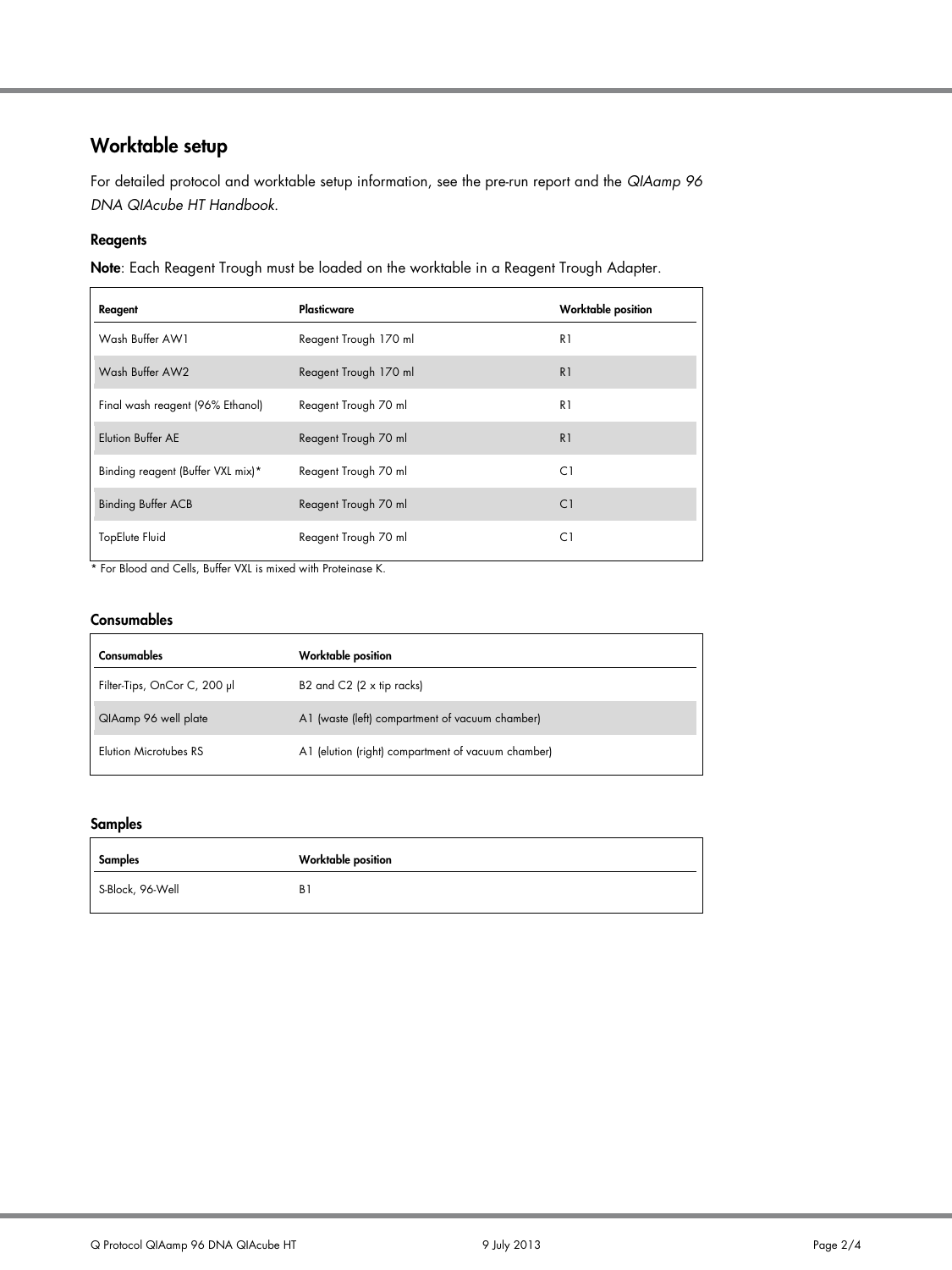## Worktable setup

For detailed protocol and worktable setup information, see the pre-run report and the *QIAamp 96 DNA QIAcube HT Handbook*.

#### Reagents

Note: Each Reagent Trough must be loaded on the worktable in a Reagent Trough Adapter.

| Reagent                           | Plasticware           | <b>Worktable position</b> |
|-----------------------------------|-----------------------|---------------------------|
| Wash Buffer AW1                   | Reagent Trough 170 ml | R1                        |
| Wash Buffer AW2                   | Reagent Trough 170 ml | R <sub>1</sub>            |
| Final wash reagent (96% Ethanol)  | Reagent Trough 70 ml  | R1                        |
| Elution Buffer AE                 | Reagent Trough 70 ml  | R <sub>1</sub>            |
| Binding reagent (Buffer VXL mix)* | Reagent Trough 70 ml  | C1                        |
| <b>Binding Buffer ACB</b>         | Reagent Trough 70 ml  | C1                        |
| TopElute Fluid                    | Reagent Trough 70 ml  | C1                        |

\* For Blood and Cells, Buffer VXL is mixed with Proteinase K.

#### Consumables

| Consumables                  | Worktable position                                 |
|------------------------------|----------------------------------------------------|
| Filter-Tips, OnCor C, 200 µl | B2 and $C2$ (2 x tip racks)                        |
| QIAamp 96 well plate         | A1 (waste (left) compartment of vacuum chamber)    |
| Elution Microtubes RS        | A1 (elution (right) compartment of vacuum chamber) |

#### Samples

| Samples          | <b>Worktable position</b> |
|------------------|---------------------------|
| S-Block, 96-Well | B1                        |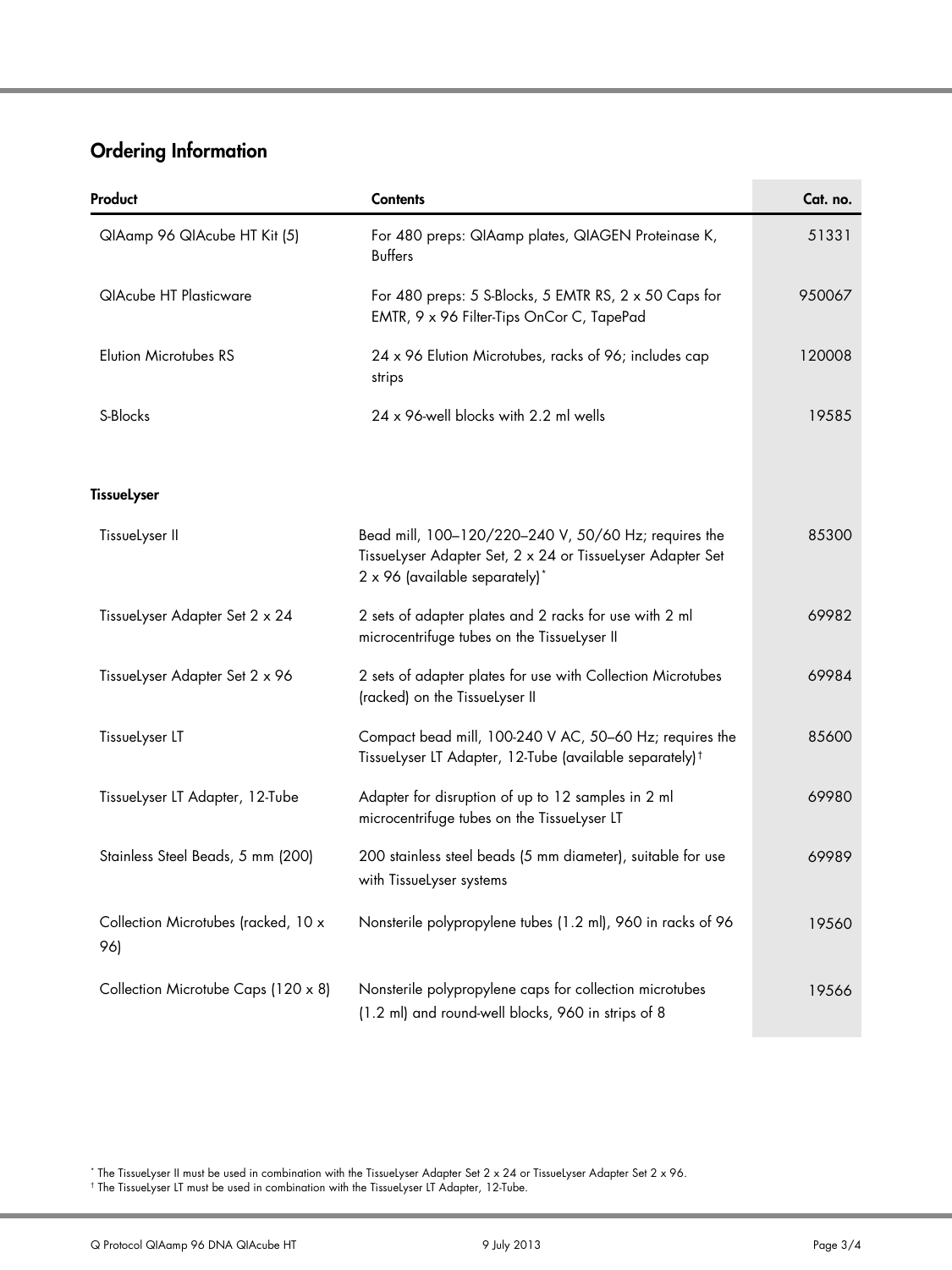## Ordering Information

| Product                                    | <b>Contents</b>                                                                                                                                      | Cat. no. |
|--------------------------------------------|------------------------------------------------------------------------------------------------------------------------------------------------------|----------|
| QIAamp 96 QIAcube HT Kit (5)               | For 480 preps: QIAamp plates, QIAGEN Proteinase K,<br><b>Buffers</b>                                                                                 | 51331    |
| <b>QIAcube HT Plasticware</b>              | For 480 preps: 5 S-Blocks, 5 EMTR RS, $2 \times 50$ Caps for<br>EMTR, 9 x 96 Filter-Tips OnCor C, TapePad                                            | 950067   |
| <b>Elution Microtubes RS</b>               | 24 x 96 Elution Microtubes, racks of 96; includes cap<br>strips                                                                                      | 120008   |
| S-Blocks                                   | 24 x 96-well blocks with 2.2 ml wells                                                                                                                | 19585    |
| <b>TissueLyser</b>                         |                                                                                                                                                      |          |
| TissueLyser II                             | Bead mill, 100-120/220-240 V, 50/60 Hz; requires the<br>Tissuelyser Adapter Set, 2 x 24 or Tissuelyser Adapter Set<br>2 x 96 (available separately)* | 85300    |
| Tissuelyser Adapter Set 2 x 24             | 2 sets of adapter plates and 2 racks for use with 2 ml<br>microcentrifuge tubes on the TissueLyser II                                                | 69982    |
| Tissuelyser Adapter Set 2 x 96             | 2 sets of adapter plates for use with Collection Microtubes<br>(racked) on the TissueLyser II                                                        | 69984    |
| TissueLyser LT                             | Compact bead mill, 100-240 V AC, 50-60 Hz; requires the<br>Tissuelyser LT Adapter, 12-Tube (available separately) <sup>†</sup>                       | 85600    |
| Tissuelyser LT Adapter, 12-Tube            | Adapter for disruption of up to 12 samples in 2 ml<br>microcentrifuge tubes on the TissueLyser LT                                                    | 69980    |
| Stainless Steel Beads, 5 mm (200)          | 200 stainless steel beads (5 mm diameter), suitable for use<br>with TissueLyser systems                                                              | 69989    |
| Collection Microtubes (racked, 10 x<br>96) | Nonsterile polypropylene tubes (1.2 ml), 960 in racks of 96                                                                                          | 19560    |
| Collection Microtube Caps (120 x 8)        | Nonsterile polypropylene caps for collection microtubes<br>(1.2 ml) and round-well blocks, 960 in strips of 8                                        | 19566    |

<span id="page-2-0"></span>\* The TissueLyser II must be used in combination with the TissueLyser Adapter Set 2 x 24 or TissueLyser Adapter Set 2 x 96.

<span id="page-2-1"></span>† The TissueLyser LT must be used in combination with the TissueLyser LT Adapter, 12-Tube.